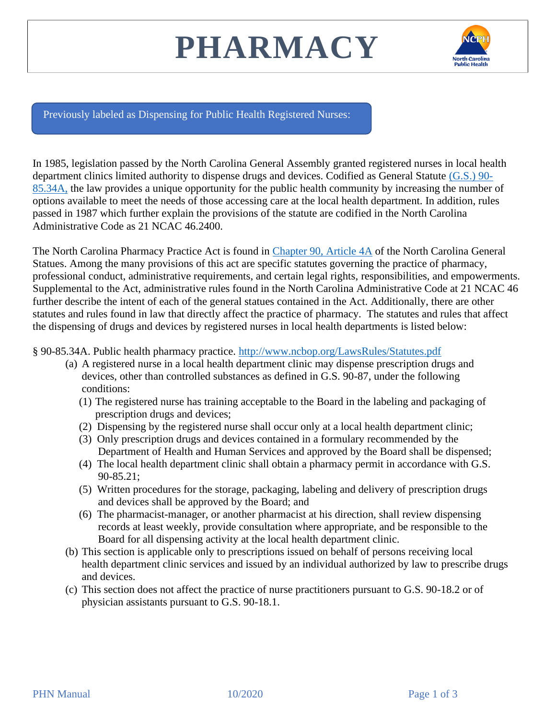## **PHARMACY**



[Previously labeled as Dispensing for Public Health Registered Nurses:](https://publichealth.nc.gov/lhd/index.htm)

In 1985, legislation passed by the North Carolina General Assembly granted registered nurses in local health department clinics limited authority to dispense drugs and devices. Codified as General Statute [\(G.S.\) 90-](http://www.ncbop.org/LawsRules/Statutes.pdf) [85.34A,](http://www.ncbop.org/LawsRules/Statutes.pdf) the law provides a unique opportunity for the public health community by increasing the number of options available to meet the needs of those accessing care at the local health department. In addition, rules passed in 1987 which further explain the provisions of the statute are codified in the North Carolina Administrative Code as 21 NCAC 46.2400.

The North Carolina Pharmacy Practice Act is found in [Chapter 90, Article 4A](http://www.ncbop.org/LawsRules/Statutes.pdf) of the North Carolina General Statues. Among the many provisions of this act are specific statutes governing the practice of pharmacy, professional conduct, administrative requirements, and certain legal rights, responsibilities, and empowerments. Supplemental to the Act, administrative rules found in the North Carolina Administrative Code at 21 NCAC 46 further describe the intent of each of the general statues contained in the Act. Additionally, there are other statutes and rules found in law that directly affect the practice of pharmacy. The statutes and rules that affect the dispensing of drugs and devices by registered nurses in local health departments is listed below:

§ 90-85.34A. Public health pharmacy practice.<http://www.ncbop.org/LawsRules/Statutes.pdf>

- (a) A registered nurse in a local health department clinic may dispense prescription drugs and devices, other than controlled substances as defined in G.S. 90-87, under the following conditions:
	- (1) The registered nurse has training acceptable to the Board in the labeling and packaging of prescription drugs and devices;
	- (2) Dispensing by the registered nurse shall occur only at a local health department clinic;
	- (3) Only prescription drugs and devices contained in a formulary recommended by the Department of Health and Human Services and approved by the Board shall be dispensed;
	- (4) The local health department clinic shall obtain a pharmacy permit in accordance with G.S. 90-85.21;
	- (5) Written procedures for the storage, packaging, labeling and delivery of prescription drugs and devices shall be approved by the Board; and
	- (6) The pharmacist-manager, or another pharmacist at his direction, shall review dispensing records at least weekly, provide consultation where appropriate, and be responsible to the Board for all dispensing activity at the local health department clinic.
- (b) This section is applicable only to prescriptions issued on behalf of persons receiving local health department clinic services and issued by an individual authorized by law to prescribe drugs and devices.
- (c) This section does not affect the practice of nurse practitioners pursuant to G.S. 90-18.2 or of physician assistants pursuant to G.S. 90-18.1.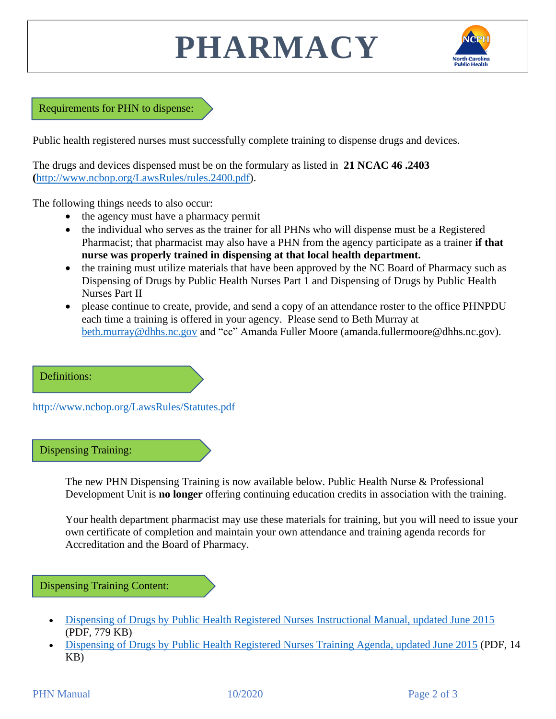## **PHARMACY**



Requirements for PHN to dispense:

Public health registered nurses must successfully complete training to dispense drugs and devices.

The drugs and devices dispensed must be on the formulary as listed in **21 NCAC 46 .2403 (**[http://www.ncbop.org/LawsRules/rules.2400.pdf\)](http://www.ncbop.org/LawsRules/rules.2400.pdf).

The following things needs to also occur:

- the agency must have a pharmacy permit
- the individual who serves as the trainer for all PHNs who will dispense must be a Registered Pharmacist; that pharmacist may also have a PHN from the agency participate as a trainer **if that nurse was properly trained in dispensing at that local health department.**
- the training must utilize materials that have been approved by the NC Board of Pharmacy such as Dispensing of Drugs by Public Health Nurses Part 1 and Dispensing of Drugs by Public Health Nurses Part II
- please continue to create, provide, and send a copy of an attendance roster to the office PHNPDU each time a training is offered in your agency. Please send to Beth Murray at [beth.murray@dhhs.nc.gov](mailto:beth.murray@dhhs.nc.gov) and "cc" Amanda Fuller Moore (amanda.fullermoore@dhhs.nc.gov).

Definitions:

<http://www.ncbop.org/LawsRules/Statutes.pdf>

Dispensing Training:

The new PHN Dispensing Training is now available below. Public Health Nurse & Professional Development Unit is **no longer** offering continuing education credits in association with the training.

Your health department pharmacist may use these materials for training, but you will need to issue your own certificate of completion and maintain your own attendance and training agenda records for Accreditation and the Board of Pharmacy.

Dispensing Training Content:

- [Dispensing of Drugs by Public Health Registered Nurses Instructional Manual, updated June 2015](https://publichealth.nc.gov/lhd/dispensingTraining/DispensingofDrugsforPublicHealthNursesManual-June-2015.pdf) (PDF, 779 KB)
- [Dispensing of Drugs by Public Health Registered Nurses Training Agenda, updated June 2015](https://publichealth.nc.gov/lhd/dispensingTraining/DispensingofDrugsbyPublicHealthNursesAgenda-June-2015-PharmacistVersion.pdf) (PDF, 14 KB)